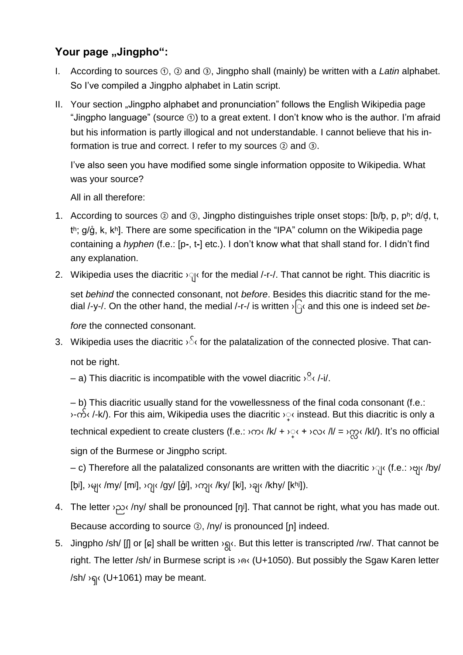## Your page "Jingpho":

- I. According to sources ①, ② and ③, Jingpho shall (mainly) be written with a *Latin* alphabet. So I've compiled a Jingpho alphabet in Latin script.
- II. Your section "Jingpho alphabet and pronunciation" follows the English Wikipedia page "Jingpho language" (source ①) to a great extent. I don't know who is the author. I'm afraid but his information is partly illogical and not understandable. I cannot believe that his information is true and correct. I refer to my sources ② and ③.

I've also seen you have modified some single information opposite to Wikipedia. What was your source?

All in all therefore:

- 1. According to sources  $\odot$  and  $\odot$ , Jingpho distinguishes triple onset stops: [b/b, p, pʰ; d/d, t, th;  $g/\hat{g}$ , k, kh]. There are some specification in the "IPA" column on the Wikipedia page containing a *hyphen* (f.e.: [p**-**, t**-**] etc.). I don't know what that shall stand for. I didn't find any explanation.
- 2. Wikipedia uses the diacritic  $\log$  for the medial /-r-/. That cannot be right. This diacritic is

set *behind* the connected consonant, not *before*. Besides this diacritic stand for the medial /-y-/. On the other hand, the medial /-r-/ is written  $\sqrt{q}$  and this one is indeed set be-

*fore* the connected consonant.

- 3. Wikipedia uses the diacritic  $\sqrt{5}$  for the palatalization of the connected plosive. That cannot be right.
	- $-$  a) This diacritic is incompatible with the vowel diacritic  $\sqrt{2}$  /-i/.

‒ b) This diacritic usually stand for the vowellessness of the final coda consonant (f.e.: ›-က်‹ /-k/). For this aim, Wikipedia uses the diacritic ›়‹ instead. But this diacritic is only a technical expedient to create clusters (f.e.:  $\log$  /k/ +  $\log$  +  $\log$  /kl/ =  $\log$  /kl/). It's no official sign of the Burmese or Jingpho script.

– c) Therefore all the palatalized consonants are written with the diacritic  $\gamma$  (f.e.:  $\gamma$  /by/ [b̥i], ›မျ‹ /my/ [mʲ], ›ဂုု‹ /gy/ [g̊i], ›ကုု‹ /ky/ [kʲ], ›ခုု‹ /khy/ [kʰi]).

- 4. The letter *>*  $\infty$  /ny/ shall be pronounced [ŋʲ]. That cannot be right, what you has made out. Because according to source ②, /ny/ is pronounced [ɲ] indeed.
- 5. Jingpho /sh/ [J] or [ɕ] shall be written > s(x). But this letter is transcripted /rw/. That cannot be right. The letter /sh/ in Burmese script is ›ၐ‹ (U+1050). But possibly the Sgaw Karen letter /sh/ ›ၡ‹ (U+1061) may be meant.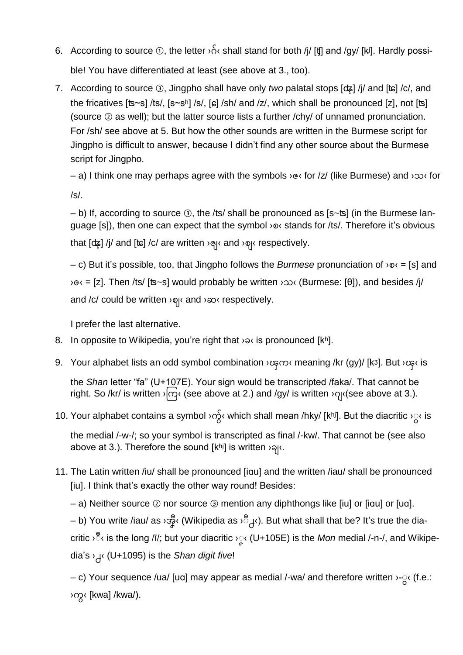- 6. According to source  $\odot$ , the letter  $\delta \delta$  shall stand for both /j/ [t] and /gy/ [kʲ]. Hardly possible! You have differentiated at least (see above at 3., too).
- 7. According to source ③, Jingpho shall have only *two* palatal stops [ʥ̥] /j/ and [ʨ] /c/, and the fricatives [ʦ~s] /ts/, [s~sʰ] /s/, [ɕ] /sh/ and /z/, which shall be pronounced [z], not [ʦ] (source ② as well); but the latter source lists a further /chy/ of unnamed pronunciation. For /sh/ see above at 5. But how the other sounds are written in the Burmese script for Jingpho is difficult to answer, because I didn't find any other source about the Burmese script for Jingpho.

‒ a) I think one may perhaps agree with the symbols ›ဇ‹ for /z/ (like Burmese) and ›သ‹ for

/s/.

‒ b) If, according to source ③, the /ts/ shall be pronounced as [s~ʦ] (in the Burmese language [s]), then one can expect that the symbol  $\infty$  stands for /ts/. Therefore it's obvious

that [dʑ] /j/ and [tɕ] /c/ are written › (« and › φι respectively.

‒ c) But it's possible, too, that Jingpho follows the *Burmese* pronunciation of ›စ‹ = [s] and ›ဇ‹ = [z]. Then /ts/ [ʦ~s] would probably be written ›သ‹ (Burmese: [θ]), and besides /j/ and /c/ could be written  $\log \sqrt{a}$  and  $\log \sqrt{a}$  respectively.

I prefer the last alternative.

- 8. In opposite to Wikipedia, you're right that  $\infty$  is pronounced [k<sup>h</sup>].
- 9. Your alphabet lists an odd symbol combination ›ၾက‹ meaning /kr (gy)/ [kᶾ]. But ›ၾ‹ is

the *Shan* letter "fa" (U+107E). Your sign would be transcripted /faka/. That cannot be right. So /kr/ is written  $\sqrt{q}$  (see above at 2.) and /gy/ is written  $\sqrt{q}$  (see above at 3.).

10. Your alphabet contains a symbol ›က်ွ< which shall mean /hky/ [kʰi]. But the diacritic ›ွ< is

the medial /-w-/; so your symbol is transcripted as final /-kw/. That cannot be (see also above at 3.). Therefore the sound [kʰʲ] is written ›ခုု‹.

11. The Latin written /iu/ shall be pronounced [iɑu] and the written /iau/ shall be pronounced [iu]. I think that's exactly the other way round! Besides:

‒ a) Neither source ② nor source ③ mention any diphthongs like [iu] or [iɑu] or [uɑ].

– b) You write /iau/ as ›အ္ဒီ‹ (Wikipedia as ›ຶ႕‹). But what shall that be? It's true the diacritic ›ຶ‹ is the long /ī/; but your diacritic ›ၞ‹ (U+105E) is the *Mon* medial /-n-/, and Wikipedia's ›႕‹ (U+1095) is the *Shan digit five*!

ec) Your sequence /ua/ [uɑ] may appear as medial /-wa/ and therefore written >- $\alpha$  (f.e.: ›ကွ‹ [kwa] /kwa/).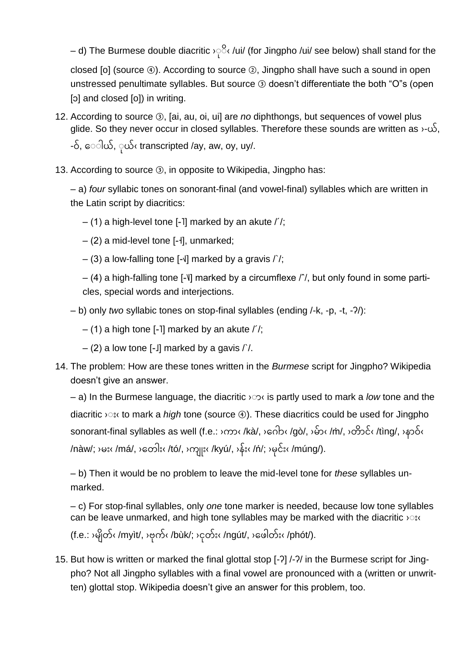— d) The Burmese double diacritic >়&/ui/ (for Jingpho /ui/ see below) shall stand for the closed [o] (source ④). According to source ②, Jingpho shall have such a sound in open unstressed penultimate syllables. But source ③ doesn't differentiate the both "O"s (open [o] and closed [o]) in writing.

- 12. According to source ③, [ai, au, oi, ui] are *no* diphthongs, but sequences of vowel plus glide. So they never occur in closed syllables. Therefore these sounds are written as  $\cdot$ - $\omega$ , -ဝ်, ေါယ်, ုယ်‹ transcripted /ay, aw, oy, uy/.
- 13. According to source ③, in opposite to Wikipedia, Jingpho has:

‒ a) *four* syllabic tones on sonorant-final (and vowel-final) syllables which are written in the Latin script by diacritics:

- $-$  (1) a high-level tone [-1] marked by an akute  $/$  /;
- ‒ (2) a mid-level tone [-˧], unmarked;
- $-$  (3) a low-falling tone [- $\sqrt{ }$ ] marked by a gravis  $\sqrt{ }$  /;

‒ (4) a high-falling tone [-˥˩] marked by a circumflexe /ˆ/, but only found in some particles, special words and interjections.

- ‒ b) only *two* syllabic tones on stop-final syllables (ending /-k, -p, -t, -ʔ/):
	- $-$  (1) a high tone [-1] marked by an akute  $/$  /;
	- $-$  (2) a low tone [-J] marked by a gavis  $\frac{\pi}{2}$ .
- 14. The problem: How are these tones written in the *Burmese* script for Jingpho? Wikipedia doesn't give an answer.

 $-$  a) In the Burmese language, the diacritic  $\infty$  is partly used to mark a *low* tone and the diacritic  $\triangle$ : to mark a *high* tone (source  $\circled{4}$ ). These diacritics could be used for Jingpho sonorant-final syllables as well (f.e.: ›ကာ‹ /kà/, ›ဂေb‹ /gò/, ›မ်ာ‹ /m̀/, ›တိာင်‹ /tìng/, ›နာဝဲ‹ /nàw/; ›မး‹ /má/, ›တေါး‹ /tó/, ›ကျူး‹ /kyú/, ›န်း‹ /ń/; ›မုင်း‹ /múng/).

‒ b) Then it would be no problem to leave the mid-level tone for *these* syllables unmarked.

‒ c) For stop-final syllables, only *one* tone marker is needed, because low tone syllables can be leave unmarked, and high tone syllables may be marked with the diacritic  $\mathcal{P}$ : (f.e.:  $\frac{1}{2}$ မြိတ်‹ /myìt/,  $\frac{1}{2}$ ဗုက်‹ /bùk/;  $\frac{1}{2}$ ငှတ်း‹ /ngút/,  $\frac{1}{2}$ ဖေါတ်း‹ /phót/).

15. But how is written or marked the final glottal stop [-ʔ] /-ʔ/ in the Burmese script for Jingpho? Not all Jingpho syllables with a final vowel are pronounced with a (written or unwritten) glottal stop. Wikipedia doesn't give an answer for this problem, too.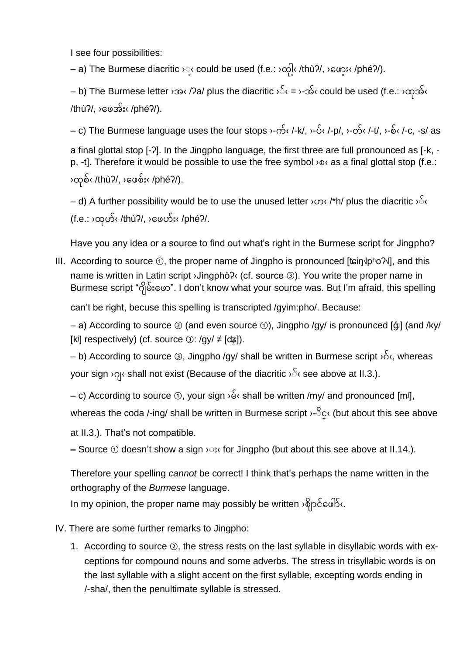I see four possibilities:

– a) The Burmese diacritic ›္‹ could be used (f.e.: ›ထ္l‹ /thùʔ/, ›ဖော္း‹ /phéʔ/).

– b) The Burmese letter ›အ‹ /ʔa/ plus the diacritic ›်‹ = ›-အ်‹ could be used (f.e.: ›ထုအ်‹  $/$ thù $?/$ ,  $>$ ေဖအ်း‹ $/$ phé $?/$ ).

– c) The Burmese language uses the four stops  $\cdot$ -က် $\cdot$  /-k/,  $\cdot$ -ပ် $\cdot$  /-p/,  $\cdot$ -တ် $\cdot$  /-t/,  $\cdot$ -စ် $\cdot$  /-c, -s/ as

a final glottal stop [-ʔ]. In the Jingpho language, the first three are full pronounced as [-k, p, -t]. Therefore it would be possible to use the free symbol  $\infty$  as a final glottal stop (f.e.: ›ထစ်‹ /thùʔ/, ›ဖေစ်း‹ /phéʔ/).

– d) A further possibility would be to use the unused letter  $\cos$  /\*h/ plus the diacritic  $\sqrt{3}$ (f.e.: ›ထုဟ်‹ /thùʔ/, ›ဖေဟ်း‹ /phéʔ/.

Have you any idea or a source to find out what's right in the Burmese script for Jingpho?

III. According to source  $\odot$ , the proper name of Jingpho is pronounced [tain |pho^2|, and this name is written in Latin script ›Jìngphòʔ‹ (cf. source ③). You write the proper name in Burmese script "ဂျိမ်းဖော". I don't know what your source was. But I'm afraid, this spelling

can't be right, becuse this spelling is transcripted /gyim:pho/. Because:

 $-$  a) According to source  $\odot$  (and even source  $\odot$ ), Jingpho /gy/ is pronounced [ $\ddot{q}$ i] (and /ky/ [kʲ] respectively) (cf. source  $\circled{3}$ : /gy/  $\neq$  [c $\sharp$ ]).

 $-$  b) According to source  $\circled{3}$ , Jingpho /gy/ shall be written in Burmese script  $\delta_1$  whereas your sign  $\log$  shall not exist (Because of the diacritic  $\log$  see above at II.3.).

 $-$  c) According to source  $\textcircled{1}$ , your sign  $\delta$  shall be written /my/ and pronounced [mi],

whereas the coda /-ing/ shall be written in Burmese script ›<sup>S</sup>c<sup>{</sup> (but about this see above

at II.3.). That's not compatible.

**–** Source ① doesn't show a sign  $\infty$ : for Jingpho (but about this see above at II.14.).

Therefore your spelling *cannot* be correct! I think that's perhaps the name written in the orthography of the *Burmese* language.

In my opinion, the proper name may possibly be written ›ဈိဉင်ဖေါ်<.

- IV. There are some further remarks to Jingpho:
	- 1. According to source ②, the stress rests on the last syllable in disyllabic words with exceptions for compound nouns and some adverbs. The stress in trisyllabic words is on the last syllable with a slight accent on the first syllable, excepting words ending in /-sha/, then the penultimate syllable is stressed.